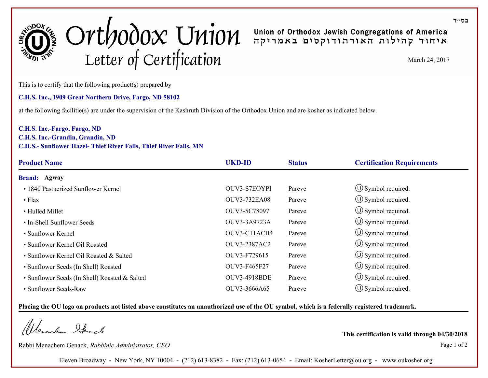

# $Ort 10000 \times 10101$ Samerica America Arteric Article 24, 2017<br>
Letter of Certification

This is to certify that the following product(s) prepared by

# **C.H.S. Inc., 1909 Great Northern Drive, Fargo, ND 58102**

at the following facilitie(s) are under the supervision of the Kashruth Division of the Orthodox Union and are kosher as indicated below.

# **C.H.S. Inc.-Fargo, Fargo, ND**

### **C.H.S. Inc.-Grandin, Grandin, ND C.H.S.- Sunflower Hazel- Thief River Falls, Thief River Falls, MN**

| <b>Product Name</b>                           | <b>UKD-ID</b>       | <b>Status</b> | <b>Certification Requirements</b> |
|-----------------------------------------------|---------------------|---------------|-----------------------------------|
| <b>Brand: Agway</b>                           |                     |               |                                   |
| • 1840 Pastuerized Sunflower Kernel           | <b>OUV3-S7EOYPI</b> | Pareve        | $\circ$ Symbol required.          |
| $\bullet$ Flax                                | <b>OUV3-732EA08</b> | Pareve        | $\circ$ Symbol required.          |
| • Hulled Millet                               | OUV3-5C78097        | Pareve        | $\circ$ Symbol required.          |
| • In-Shell Sunflower Seeds                    | OUV3-3A9723A        | Pareve        | $\circ$ Symbol required.          |
| • Sunflower Kernel                            | OUV3-C11ACB4        | Pareve        | $\circled{1}$ Symbol required.    |
| • Sunflower Kernel Oil Roasted                | OUV3-2387AC2        | Pareve        | $\circ$ Symbol required.          |
| • Sunflower Kernel Oil Roasted & Salted       | OUV3-F729615        | Pareve        | $\circ$ Symbol required.          |
| • Sunflower Seeds (In Shell) Roasted          | OUV3-F465F27        | Pareve        | $\circ$ Symbol required.          |
| • Sunflower Seeds (In Shell) Roasted & Salted | <b>OUV3-4918BDE</b> | Pareve        | $\circ$ Symbol required.          |
| • Sunflower Seeds-Raw                         | OUV3-3666A65        | Pareve        | $\circ$ Symbol required.          |

### **Placing the OU logo on products not listed above constitutes an unauthorized use of the OU symbol, which is a federally registered trademark.**

Werachen Ifarl

Rabbi Menachem Genack, *Rabbinic Administrator, CEO* Page 1 of 2

**This certification is valid through 04/30/2018**

Eleven Broadway **-** New York, NY 10004 **-** (212) 613-8382 **-** Fax: (212) 613-0654 **-** Email: KosherLetter@ou.org **-** www.oukosher.org